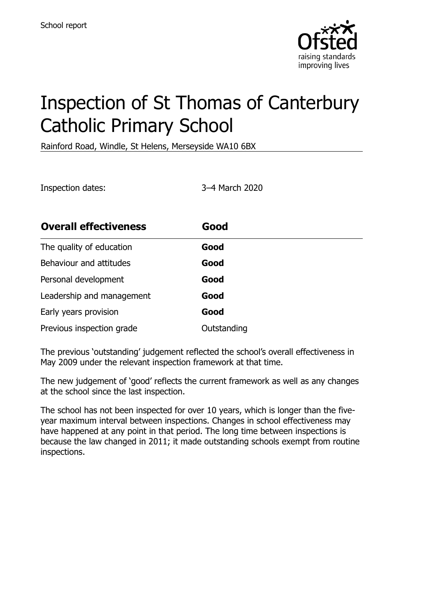

# Inspection of St Thomas of Canterbury Catholic Primary School

Rainford Road, Windle, St Helens, Merseyside WA10 6BX

Inspection dates: 3–4 March 2020

| <b>Overall effectiveness</b> | Good        |
|------------------------------|-------------|
| The quality of education     | Good        |
| Behaviour and attitudes      | Good        |
| Personal development         | Good        |
| Leadership and management    | Good        |
| Early years provision        | Good        |
| Previous inspection grade    | Outstanding |

The previous 'outstanding' judgement reflected the school's overall effectiveness in May 2009 under the relevant inspection framework at that time.

The new judgement of 'good' reflects the current framework as well as any changes at the school since the last inspection.

The school has not been inspected for over 10 years, which is longer than the fiveyear maximum interval between inspections. Changes in school effectiveness may have happened at any point in that period. The long time between inspections is because the law changed in 2011; it made outstanding schools exempt from routine inspections.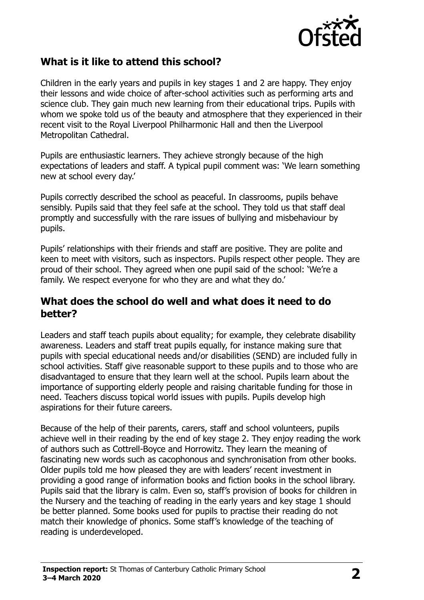

## **What is it like to attend this school?**

Children in the early years and pupils in key stages 1 and 2 are happy. They enjoy their lessons and wide choice of after-school activities such as performing arts and science club. They gain much new learning from their educational trips. Pupils with whom we spoke told us of the beauty and atmosphere that they experienced in their recent visit to the Royal Liverpool Philharmonic Hall and then the Liverpool Metropolitan Cathedral.

Pupils are enthusiastic learners. They achieve strongly because of the high expectations of leaders and staff. A typical pupil comment was: 'We learn something new at school every day.'

Pupils correctly described the school as peaceful. In classrooms, pupils behave sensibly. Pupils said that they feel safe at the school. They told us that staff deal promptly and successfully with the rare issues of bullying and misbehaviour by pupils.

Pupils' relationships with their friends and staff are positive. They are polite and keen to meet with visitors, such as inspectors. Pupils respect other people. They are proud of their school. They agreed when one pupil said of the school: 'We're a family. We respect everyone for who they are and what they do.'

#### **What does the school do well and what does it need to do better?**

Leaders and staff teach pupils about equality; for example, they celebrate disability awareness. Leaders and staff treat pupils equally, for instance making sure that pupils with special educational needs and/or disabilities (SEND) are included fully in school activities. Staff give reasonable support to these pupils and to those who are disadvantaged to ensure that they learn well at the school. Pupils learn about the importance of supporting elderly people and raising charitable funding for those in need. Teachers discuss topical world issues with pupils. Pupils develop high aspirations for their future careers.

Because of the help of their parents, carers, staff and school volunteers, pupils achieve well in their reading by the end of key stage 2. They enjoy reading the work of authors such as Cottrell-Boyce and Horrowitz. They learn the meaning of fascinating new words such as cacophonous and synchronisation from other books. Older pupils told me how pleased they are with leaders' recent investment in providing a good range of information books and fiction books in the school library. Pupils said that the library is calm. Even so, staff's provision of books for children in the Nursery and the teaching of reading in the early years and key stage 1 should be better planned. Some books used for pupils to practise their reading do not match their knowledge of phonics. Some staff's knowledge of the teaching of reading is underdeveloped.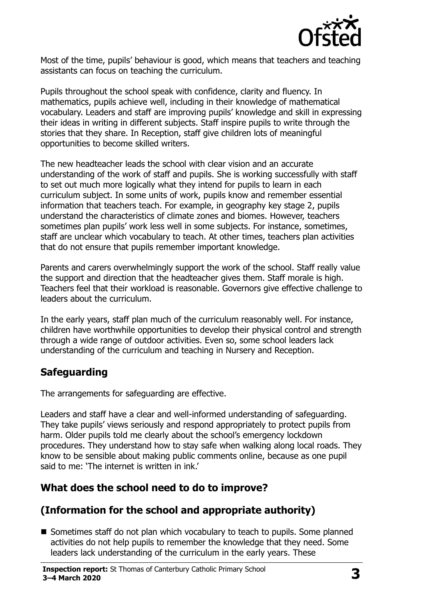

Most of the time, pupils' behaviour is good, which means that teachers and teaching assistants can focus on teaching the curriculum.

Pupils throughout the school speak with confidence, clarity and fluency. In mathematics, pupils achieve well, including in their knowledge of mathematical vocabulary. Leaders and staff are improving pupils' knowledge and skill in expressing their ideas in writing in different subjects. Staff inspire pupils to write through the stories that they share. In Reception, staff give children lots of meaningful opportunities to become skilled writers.

The new headteacher leads the school with clear vision and an accurate understanding of the work of staff and pupils. She is working successfully with staff to set out much more logically what they intend for pupils to learn in each curriculum subject. In some units of work, pupils know and remember essential information that teachers teach. For example, in geography key stage 2, pupils understand the characteristics of climate zones and biomes. However, teachers sometimes plan pupils' work less well in some subjects. For instance, sometimes, staff are unclear which vocabulary to teach. At other times, teachers plan activities that do not ensure that pupils remember important knowledge.

Parents and carers overwhelmingly support the work of the school. Staff really value the support and direction that the headteacher gives them. Staff morale is high. Teachers feel that their workload is reasonable. Governors give effective challenge to leaders about the curriculum.

In the early years, staff plan much of the curriculum reasonably well. For instance, children have worthwhile opportunities to develop their physical control and strength through a wide range of outdoor activities. Even so, some school leaders lack understanding of the curriculum and teaching in Nursery and Reception.

## **Safeguarding**

The arrangements for safeguarding are effective.

Leaders and staff have a clear and well-informed understanding of safeguarding. They take pupils' views seriously and respond appropriately to protect pupils from harm. Older pupils told me clearly about the school's emergency lockdown procedures. They understand how to stay safe when walking along local roads. They know to be sensible about making public comments online, because as one pupil said to me: 'The internet is written in ink.'

## **What does the school need to do to improve?**

# **(Information for the school and appropriate authority)**

■ Sometimes staff do not plan which vocabulary to teach to pupils. Some planned activities do not help pupils to remember the knowledge that they need. Some leaders lack understanding of the curriculum in the early years. These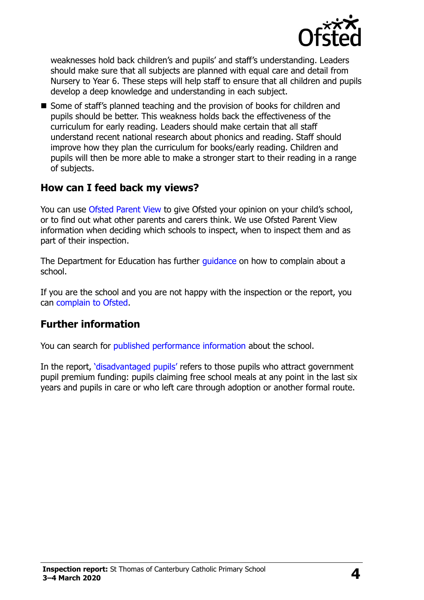

weaknesses hold back children's and pupils' and staff's understanding. Leaders should make sure that all subjects are planned with equal care and detail from Nursery to Year 6. These steps will help staff to ensure that all children and pupils develop a deep knowledge and understanding in each subject.

**Some of staff's planned teaching and the provision of books for children and** pupils should be better. This weakness holds back the effectiveness of the curriculum for early reading. Leaders should make certain that all staff understand recent national research about phonics and reading. Staff should improve how they plan the curriculum for books/early reading. Children and pupils will then be more able to make a stronger start to their reading in a range of subjects.

### **How can I feed back my views?**

You can use [Ofsted Parent View](http://parentview.ofsted.gov.uk/) to give Ofsted your opinion on your child's school, or to find out what other parents and carers think. We use Ofsted Parent View information when deciding which schools to inspect, when to inspect them and as part of their inspection.

The Department for Education has further quidance on how to complain about a school.

If you are the school and you are not happy with the inspection or the report, you can [complain to Ofsted.](http://www.gov.uk/complain-ofsted-report)

### **Further information**

You can search for [published performance information](http://www.compare-school-performance.service.gov.uk/) about the school.

In the report, '[disadvantaged pupils](http://www.gov.uk/guidance/pupil-premium-information-for-schools-and-alternative-provision-settings)' refers to those pupils who attract government pupil premium funding: pupils claiming free school meals at any point in the last six years and pupils in care or who left care through adoption or another formal route.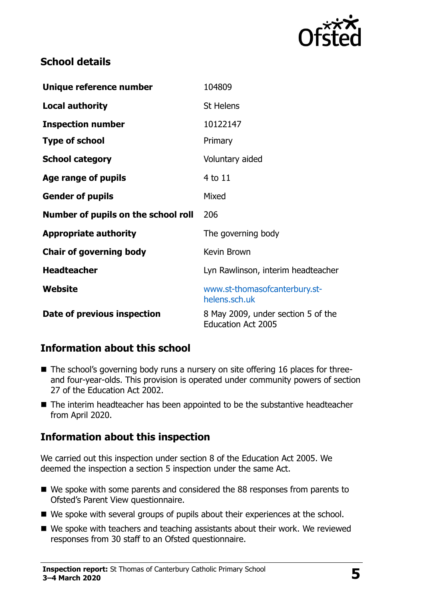

## **School details**

| Unique reference number             | 104809                             |
|-------------------------------------|------------------------------------|
| <b>Local authority</b>              | <b>St Helens</b>                   |
| <b>Inspection number</b>            | 10122147                           |
| <b>Type of school</b>               | Primary                            |
| <b>School category</b>              | Voluntary aided                    |
| Age range of pupils                 | 4 to 11                            |
| <b>Gender of pupils</b>             | Mixed                              |
| Number of pupils on the school roll | 206                                |
| <b>Appropriate authority</b>        | The governing body                 |
| <b>Chair of governing body</b>      | Kevin Brown                        |
| <b>Headteacher</b>                  | Lyn Rawlinson, interim headteacher |
| Website                             | www.st-thomasofcanterbury.st-      |
|                                     | helens.sch.uk                      |

### **Information about this school**

- The school's governing body runs a nursery on site offering 16 places for threeand four-year-olds. This provision is operated under community powers of section 27 of the Education Act 2002.
- The interim headteacher has been appointed to be the substantive headteacher from April 2020.

## **Information about this inspection**

We carried out this inspection under section 8 of the Education Act 2005. We deemed the inspection a section 5 inspection under the same Act.

- We spoke with some parents and considered the 88 responses from parents to Ofsted's Parent View questionnaire.
- We spoke with several groups of pupils about their experiences at the school.
- We spoke with teachers and teaching assistants about their work. We reviewed responses from 30 staff to an Ofsted questionnaire.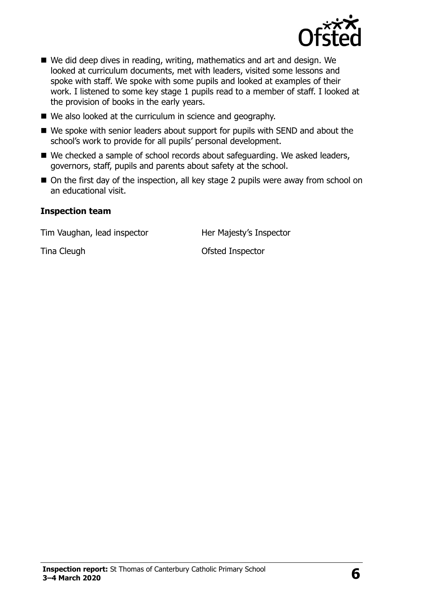

- We did deep dives in reading, writing, mathematics and art and design. We looked at curriculum documents, met with leaders, visited some lessons and spoke with staff. We spoke with some pupils and looked at examples of their work. I listened to some key stage 1 pupils read to a member of staff. I looked at the provision of books in the early years.
- We also looked at the curriculum in science and geography.
- We spoke with senior leaders about support for pupils with SEND and about the school's work to provide for all pupils' personal development.
- We checked a sample of school records about safeguarding. We asked leaders, governors, staff, pupils and parents about safety at the school.
- On the first day of the inspection, all key stage 2 pupils were away from school on an educational visit.

#### **Inspection team**

Tim Vaughan, lead inspector **Her Majesty's Inspector** 

Tina Cleugh **Cleugh Cleugh Cleugh Cleugh Ofsted Inspector**